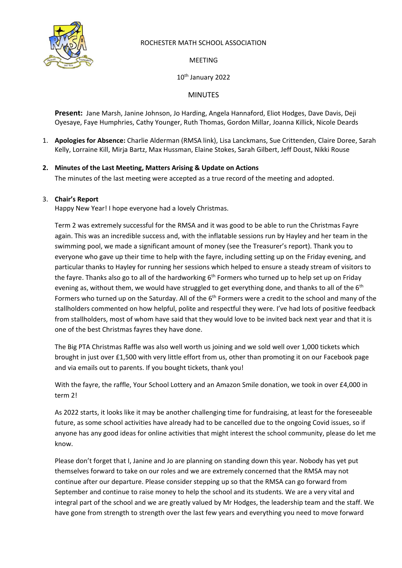

# ROCHESTER MATH SCHOOL ASSOCIATION

MEETING

10th January 2022

MINUTES

**Present:** Jane Marsh, Janine Johnson, Jo Harding, Angela Hannaford, Eliot Hodges, Dave Davis, Deji Oyesaye, Faye Humphries, Cathy Younger, Ruth Thomas, Gordon Millar, Joanna Killick, Nicole Deards

- 1. **Apologies for Absence:** Charlie Alderman (RMSA link), Lisa Lanckmans, Sue Crittenden, Claire Doree, Sarah Kelly, Lorraine Kill, Mirja Bartz, Max Hussman, Elaine Stokes, Sarah Gilbert, Jeff Doust, Nikki Rouse
- **2. Minutes of the Last Meeting, Matters Arising & Update on Actions** The minutes of the last meeting were accepted as a true record of the meeting and adopted.

# 3. **Chair's Report**

Happy New Year! I hope everyone had a lovely Christmas.

Term 2 was extremely successful for the RMSA and it was good to be able to run the Christmas Fayre again. This was an incredible success and, with the inflatable sessions run by Hayley and her team in the swimming pool, we made a significant amount of money (see the Treasurer's report). Thank you to everyone who gave up their time to help with the fayre, including setting up on the Friday evening, and particular thanks to Hayley for running her sessions which helped to ensure a steady stream of visitors to the fayre. Thanks also go to all of the hardworking 6<sup>th</sup> Formers who turned up to help set up on Friday evening as, without them, we would have struggled to get everything done, and thanks to all of the 6<sup>th</sup> Formers who turned up on the Saturday. All of the 6<sup>th</sup> Formers were a credit to the school and many of the stallholders commented on how helpful, polite and respectful they were. I've had lots of positive feedback from stallholders, most of whom have said that they would love to be invited back next year and that it is one of the best Christmas fayres they have done.

The Big PTA Christmas Raffle was also well worth us joining and we sold well over 1,000 tickets which brought in just over £1,500 with very little effort from us, other than promoting it on our Facebook page and via emails out to parents. If you bought tickets, thank you!

With the fayre, the raffle, Your School Lottery and an Amazon Smile donation, we took in over £4,000 in term 2!

As 2022 starts, it looks like it may be another challenging time for fundraising, at least for the foreseeable future, as some school activities have already had to be cancelled due to the ongoing Covid issues, so if anyone has any good ideas for online activities that might interest the school community, please do let me know.

Please don't forget that I, Janine and Jo are planning on standing down this year. Nobody has yet put themselves forward to take on our roles and we are extremely concerned that the RMSA may not continue after our departure. Please consider stepping up so that the RMSA can go forward from September and continue to raise money to help the school and its students. We are a very vital and integral part of the school and we are greatly valued by Mr Hodges, the leadership team and the staff. We have gone from strength to strength over the last few years and everything you need to move forward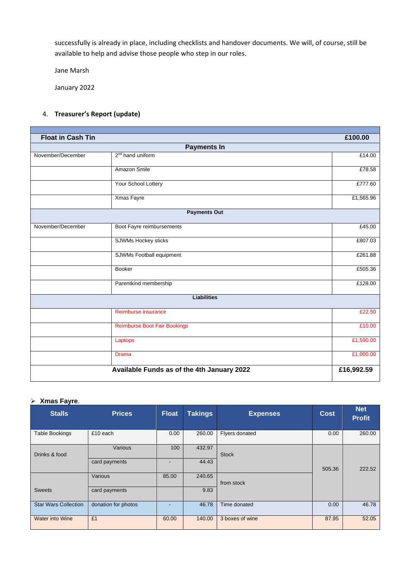successfully is already in place, including checklists and handover documents. We will, of course, still be available to help and advise those people who step in our roles.

Jane Marsh

January 2022

#### 4. **Treasurer's Report (update)**

| <b>Float in Cash Tin</b> |                                            | £100.00    |
|--------------------------|--------------------------------------------|------------|
|                          | <b>Payments In</b>                         |            |
| November/December        | 2 <sup>nd</sup> hand uniform               | £14.00     |
|                          | Amazon Smile                               | E78.58     |
|                          | Your School Lottery                        | £777.60    |
|                          | Xmas Fayre                                 | £1,565.96  |
|                          | <b>Payments Out</b>                        |            |
| November/December        | Boot Fayre reimbursements                  | £45.00     |
|                          | SJWMs Hockey sticks                        | £807.03    |
|                          | <b>SJWMs Football equipment</b>            | £261.88    |
|                          | <b>Booker</b>                              | £505.36    |
|                          | Parentkind membership                      | £128.00    |
|                          | <b>Liabilities</b>                         |            |
|                          | Reimburse insurance                        | £22.50     |
|                          | <b>Reimburse Boot Fair Bookings</b>        | £10.00     |
|                          | Laptops                                    | £1,590.00  |
|                          | <b>Drama</b>                               | £1,000.00  |
|                          | Available Funds as of the 4th January 2022 | £16,992.59 |

#### ➢ **Xmas Fayre**.

| <b>Stalls</b>               | <b>Prices</b>       | <b>Float</b> | <b>Takings</b> | <b>Expenses</b> | <b>Cost</b> | <b>Net</b><br><b>Profit</b> |
|-----------------------------|---------------------|--------------|----------------|-----------------|-------------|-----------------------------|
| <b>Table Bookings</b>       | £10 each            | 0.00         | 260.00         | Flyers donated  | 0.00        | 260.00                      |
| Drinks & food               | Various             | 100          | 432.97         | <b>Stock</b>    |             |                             |
|                             | card payments       |              | 44.43          |                 | 505.36      | 222.52                      |
|                             | Various             | 85.00        | 240.65         | from stock      |             |                             |
| <b>Sweets</b>               | card payments       |              | 9.83           |                 |             |                             |
| <b>Star Wars Collection</b> | donation for photos |              | 46.78          | Time donated    | 0.00        | 46.78                       |
| <b>Water into Wine</b>      | £1                  | 60.00        | 140.00         | 3 boxes of wine | 87.95       | 52.05                       |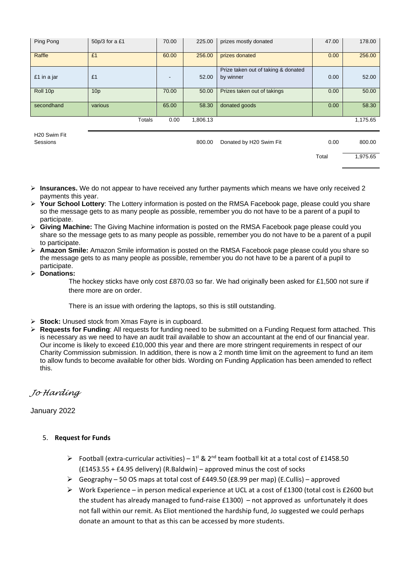| Ping Pong   | 50p/3 for a £1  | 70.00 | 225.00   | prizes mostly donated                            | 47.00 | 178.00   |
|-------------|-----------------|-------|----------|--------------------------------------------------|-------|----------|
| Raffle      | £1              | 60.00 | 256.00   | prizes donated                                   | 0.00  | 256.00   |
| £1 in a jar | £1              |       | 52.00    | Prize taken out of taking & donated<br>by winner | 0.00  | 52.00    |
| Roll 10p    | 10 <sub>p</sub> | 70.00 | 50.00    | Prizes taken out of takings                      | 0.00  | 50.00    |
| secondhand  | various         | 65.00 | 58.30    | donated goods                                    | 0.00  | 58.30    |
|             | Totals          | 0.00  | 1,806.13 |                                                  |       | 1,175.65 |

H20 Swim Fit

Sessions **800.00** Bonated by H20 Swim Fit **10.00** 800.00 Bonated by H20 Swim Fit

Total 1,975.65

- ➢ **Insurances.** We do not appear to have received any further payments which means we have only received 2 payments this year.
- ➢ **Your School Lottery**: The Lottery information is posted on the RMSA Facebook page, please could you share so the message gets to as many people as possible, remember you do not have to be a parent of a pupil to participate.
- ➢ **Giving Machine:** The Giving Machine information is posted on the RMSA Facebook page please could you share so the message gets to as many people as possible, remember you do not have to be a parent of a pupil to participate.
- ➢ **Amazon Smile:** Amazon Smile information is posted on the RMSA Facebook page please could you share so the message gets to as many people as possible, remember you do not have to be a parent of a pupil to participate.
- ➢ **Donations:**

The hockey sticks have only cost £870.03 so far. We had originally been asked for £1,500 not sure if there more are on order.

There is an issue with ordering the laptops, so this is still outstanding.

- ➢ **Stock:** Unused stock from Xmas Fayre is in cupboard.
- ➢ **Requests for Funding**: All requests for funding need to be submitted on a Funding Request form attached. This is necessary as we need to have an audit trail available to show an accountant at the end of our financial year. Our income is likely to exceed £10,000 this year and there are more stringent requirements in respect of our Charity Commission submission. In addition, there is now a 2 month time limit on the agreement to fund an item to allow funds to become available for other bids. Wording on Funding Application has been amended to reflect this.

# *Jo Harding*

# January 2022

## 5. **Request for Funds**

- $\triangleright$  Football (extra-curricular activities) 1<sup>st</sup> & 2<sup>nd</sup> team football kit at a total cost of £1458.50 (£1453.55 + £4.95 delivery) (R.Baldwin) – approved minus the cost of socks
- $\triangleright$  Geography 50 OS maps at total cost of £449.50 (£8.99 per map) (E.Cullis) approved
- ➢ Work Experience in person medical experience at UCL at a cost of £1300 (total cost is £2600 but the student has already managed to fund-raise £1300) – not approved as unfortunately it does not fall within our remit. As Eliot mentioned the hardship fund, Jo suggested we could perhaps donate an amount to that as this can be accessed by more students.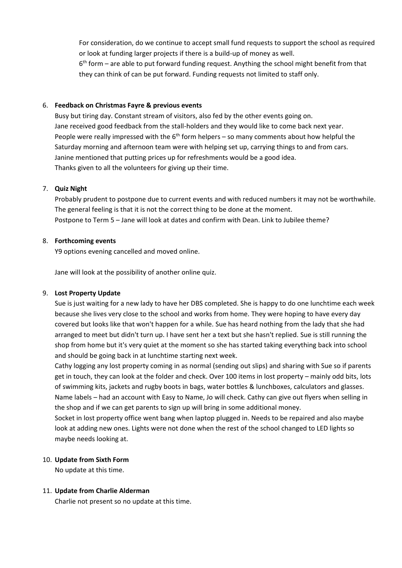For consideration, do we continue to accept small fund requests to support the school as required or look at funding larger projects if there is a build-up of money as well.

6<sup>th</sup> form – are able to put forward funding request. Anything the school might benefit from that they can think of can be put forward. Funding requests not limited to staff only.

#### 6. **Feedback on Christmas Fayre & previous events**

Busy but tiring day. Constant stream of visitors, also fed by the other events going on. Jane received good feedback from the stall-holders and they would like to come back next year. People were really impressed with the  $6<sup>th</sup>$  form helpers – so many comments about how helpful the Saturday morning and afternoon team were with helping set up, carrying things to and from cars. Janine mentioned that putting prices up for refreshments would be a good idea. Thanks given to all the volunteers for giving up their time.

### 7. **Quiz Night**

Probably prudent to postpone due to current events and with reduced numbers it may not be worthwhile. The general feeling is that it is not the correct thing to be done at the moment. Postpone to Term 5 – Jane will look at dates and confirm with Dean. Link to Jubilee theme?

## 8. **Forthcoming events**

Y9 options evening cancelled and moved online.

Jane will look at the possibility of another online quiz.

## 9. **Lost Property Update**

Sue is just waiting for a new lady to have her DBS completed. She is happy to do one lunchtime each week because she lives very close to the school and works from home. They were hoping to have every day covered but looks like that won't happen for a while. Sue has heard nothing from the lady that she had arranged to meet but didn't turn up. I have sent her a text but she hasn't replied. Sue is still running the shop from home but it's very quiet at the moment so she has started taking everything back into school and should be going back in at lunchtime starting next week.

Cathy logging any lost property coming in as normal (sending out slips) and sharing with Sue so if parents get in touch, they can look at the folder and check. Over 100 items in lost property – mainly odd bits, lots of swimming kits, jackets and rugby boots in bags, water bottles & lunchboxes, calculators and glasses. Name labels – had an account with Easy to Name, Jo will check. Cathy can give out flyers when selling in the shop and if we can get parents to sign up will bring in some additional money.

Socket in lost property office went bang when laptop plugged in. Needs to be repaired and also maybe look at adding new ones. Lights were not done when the rest of the school changed to LED lights so maybe needs looking at.

## 10. **Update from Sixth Form**

No update at this time.

#### 11. **Update from Charlie Alderman**

Charlie not present so no update at this time.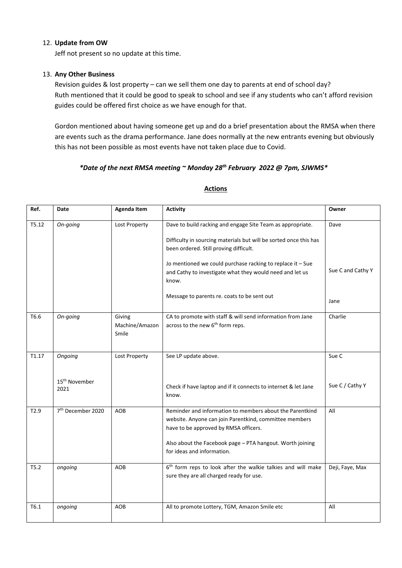#### 12. **Update from OW**

Jeff not present so no update at this time.

#### 13. **Any Other Business**

Revision guides & lost property – can we sell them one day to parents at end of school day? Ruth mentioned that it could be good to speak to school and see if any students who can't afford revision guides could be offered first choice as we have enough for that.

Gordon mentioned about having someone get up and do a brief presentation about the RMSA when there are events such as the drama performance. Jane does normally at the new entrants evening but obviously this has not been possible as most events have not taken place due to Covid.

# *\*Date of the next RMSA meeting ~ Monday 28th February 2022 @ 7pm, SJWMS\**

| Ref.             | Date                                         | <b>Agenda Item</b>                | <b>Activity</b>                                                                                                                                                                                                                                                                                                                                             | Owner                             |
|------------------|----------------------------------------------|-----------------------------------|-------------------------------------------------------------------------------------------------------------------------------------------------------------------------------------------------------------------------------------------------------------------------------------------------------------------------------------------------------------|-----------------------------------|
| T5.12            | On-going                                     | Lost Property                     | Dave to build racking and engage Site Team as appropriate.<br>Difficulty in sourcing materials but will be sorted once this has<br>been ordered. Still proving difficult.<br>Jo mentioned we could purchase racking to replace it - Sue<br>and Cathy to investigate what they would need and let us<br>know.<br>Message to parents re. coats to be sent out | Dave<br>Sue C and Cathy Y<br>Jane |
| T6.6             | On-going                                     | Giving<br>Machine/Amazon<br>Smile | CA to promote with staff & will send information from Jane<br>across to the new 6 <sup>th</sup> form reps.                                                                                                                                                                                                                                                  | Charlie                           |
| T1.17            | Ongoing<br>15 <sup>th</sup> November<br>2021 | Lost Property                     | See LP update above.<br>Check if have laptop and if it connects to internet & let Jane<br>know.                                                                                                                                                                                                                                                             | Sue C<br>Sue C / Cathy Y          |
| T <sub>2.9</sub> | 7 <sup>th</sup> December 2020                | <b>AOB</b>                        | Reminder and information to members about the Parentkind<br>website. Anyone can join Parentkind, committee members<br>have to be approved by RMSA officers.<br>Also about the Facebook page - PTA hangout. Worth joining<br>for ideas and information.                                                                                                      | All                               |
| T5.2             | ongoing                                      | AOB                               | 6 <sup>th</sup> form reps to look after the walkie talkies and will make<br>sure they are all charged ready for use.                                                                                                                                                                                                                                        | Deji, Faye, Max                   |
| T6.1             | ongoing                                      | AOB                               | All to promote Lottery, TGM, Amazon Smile etc                                                                                                                                                                                                                                                                                                               | All                               |

## **Actions**